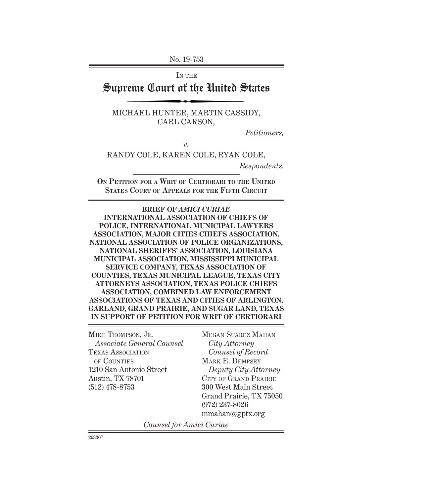No. 19-753

IN THE

# Supreme Court of the United States

MICHAEL HUNTER, MARTIN CASSIDY, CARL CARSON,

*Petitioners,*

*v.*

RANDY COLE, KAREN COLE, RYAN COLE, *Respondents.*

**On Petition for a Writ of Certiorari to the United States Court of Appeals for the Fifth Circuit**

**BRIEF OF** *AMICI CURIAE* **INTERNATIONAL ASSOCIATION OF CHIEFS OF POLICE, INTERNATIONAL MUNICIPAL LAWYERS ASSOCIATION, MAJOR CITIES CHIEFS ASSOCIATION, NATIONAL ASSOCIATION OF POLICE ORGANIZATIONS, NATIONAL SHERIFFS' ASSOCIATION, LOUISIANA MUNICIPAL ASSOCIATION, MISSISSIPPI MUNICIPAL SERVICE COMPANY, TEXAS ASSOCIATION OF COUNTIES, TEXAS MUNICIPAL LEAGUE, TEXAS CITY ATTORNEYS ASSOCIATION, TEXAS POLICE CHIEFS ASSOCIATION, COMBINED LAW ENFORCEMENT ASSOCIATIONS OF TEXAS AND CITIES OF ARLINGTON, GARLAND, GRAND PRAIRIE, AND SUGAR LAND, TEXAS IN SUPPORT OF PETITION FOR WRIT OF CERTIORARI**

MIKE THOMPSON, JR. *Associate General Counsel*  Texas Association of Counties 1210 San Antonio Street Austin, TX 78701 (512) 478-8753

Megan Suarez Mahan *City Attorney Counsel of Record* Mark E. Dempsey *Deputy City Attorney* CITY OF GRAND PRAIRIE 300 West Main Street Grand Prairie, TX 75050 (972) 237-8026 mmahan@gptx.org

*Counsel for Amici Curiae*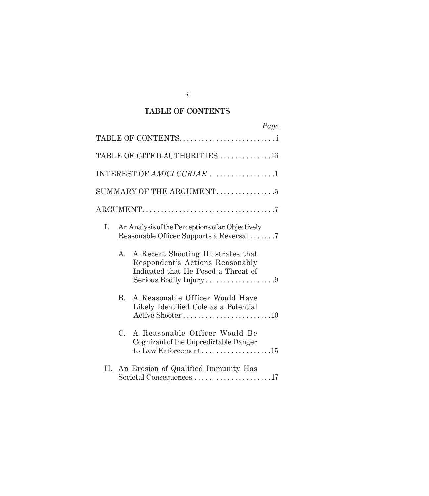### **TABLE OF CONTENTS**

| Page                                                                                                                                         |  |
|----------------------------------------------------------------------------------------------------------------------------------------------|--|
| TABLE OF CONTENTS                                                                                                                            |  |
| TABLE OF CITED AUTHORITIES iii                                                                                                               |  |
| INTEREST OF AMICI CURIAE 1                                                                                                                   |  |
|                                                                                                                                              |  |
|                                                                                                                                              |  |
| I.<br>An Analysis of the Perceptions of an Objectively<br>Reasonable Officer Supports a Reversal 7                                           |  |
| A Recent Shooting Illustrates that<br>А.<br>Respondent's Actions Reasonably<br>Indicated that He Posed a Threat of<br>Serious Bodily Injury9 |  |
| A Reasonable Officer Would Have<br>B.<br>Likely Identified Cole as a Potential<br>Active Shooter10                                           |  |
| $C_{\cdot}$<br>A Reasonable Officer Would Be<br>Cognizant of the Unpredictable Danger<br>to Law Enforcement15                                |  |
| An Erosion of Qualified Immunity Has<br>Н.<br>Societal Consequences 17                                                                       |  |

*i*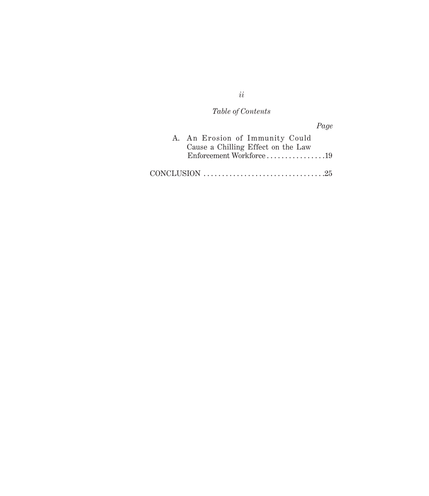# *Table of Contents*

*Page*

| A. An Erosion of Immunity Could    |  |
|------------------------------------|--|
| Cause a Chilling Effect on the Law |  |
| Enforcement Workforce19            |  |
|                                    |  |

*ii*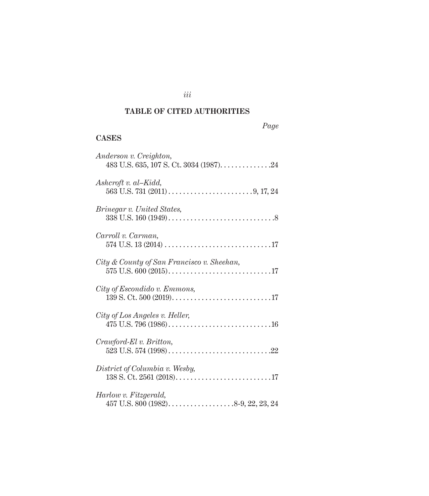## **TABLE OF CITED AUTHORITIES**

*iii*

## **CASES**

| Anderson v. Creighton,                                                                 |
|----------------------------------------------------------------------------------------|
| Ashcroft v. al-Kidd,                                                                   |
| <i>Brinegar v. United States,</i>                                                      |
| Carroll v. Carman,                                                                     |
| City & County of San Francisco v. Sheehan,                                             |
| City of Escondido v. Emmons,                                                           |
| City of Los Angeles v. Heller,                                                         |
| Crawford-El v. Britton,                                                                |
| District of Columbia v. Wesby,                                                         |
| Harlow v. Fitzgerald,<br>457 U.S. 800 (1982). $\ldots$ . $\ldots$ . $8-9$ , 22, 23, 24 |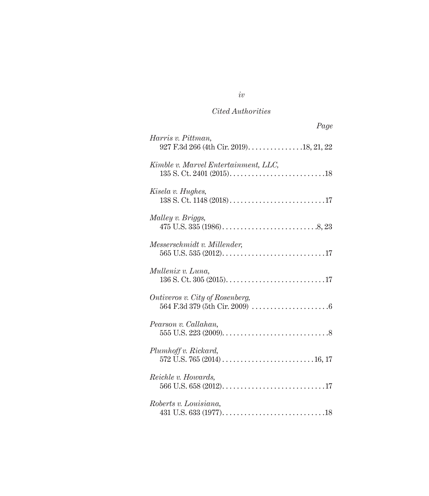| Page                                                           |
|----------------------------------------------------------------|
| Harris v. Pittman,<br>927 F.3d 266 (4th Cir. 2019). 18, 21, 22 |
| Kimble v. Marvel Entertainment, LLC,                           |
| Kisela v. Hughes,                                              |
| Malley v. Briggs,                                              |
| Messerschmidt v. Millender,                                    |
| Mullenix v. Luna,                                              |
| Ontiveros v. City of Rosenberg,                                |
| Pearson v. Callahan,                                           |
| Plumhoff v. Rickard,                                           |
| Reichle v. Howards,                                            |
| Roberts v. Louisiana,                                          |

# *iv*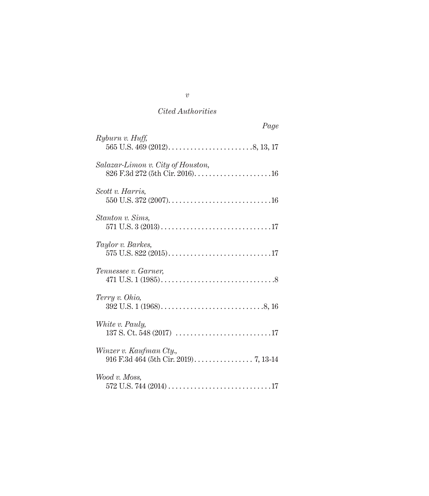|                                   | Page |
|-----------------------------------|------|
| Ryburn v. Huff,                   |      |
| Salazar-Limon v. City of Houston, |      |
| Scott v. Harris,                  |      |
| Stanton v. Sims,                  |      |
| Taylor v. Barkes,                 |      |
| Tennessee v. Garner,              |      |
| Terry v. Ohio,                    |      |
| White v. Pauly,                   |      |
| Winzer v. Kaufman Cty.,           |      |
| Wood v. Moss,                     |      |

*v*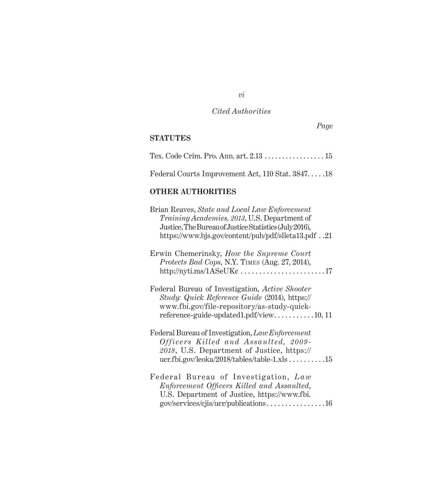*Page*

## **STATUTES**

| Federal Courts Improvement Act, 110 Stat. 384718 |  |
|--------------------------------------------------|--|

### **OTHER AUTHORITIES**

| Brian Reaves, State and Local Law Enforcement<br>Training Academies, 2013, U.S. Department of<br>Justice, The Bureau of Justice Statistics (July 2016),<br>https://www.bjs.gov/content/pub/pdf/slleta13.pdf21 |
|---------------------------------------------------------------------------------------------------------------------------------------------------------------------------------------------------------------|
| Erwin Chemerinsky, How the Supreme Court<br>Protects Bad Cops, N.Y. TIMES (Aug. 27, 2014),<br>$http://nyti.ms/1ASeUKc \ldots \ldots \ldots \ldots \ldots \ldots 17$                                           |
| Federal Bureau of Investigation, Active Shooter<br>Study: Quick Reference Guide (2014), https://<br>www.fbi.gov/file-repository/as-study-quick-<br>reference-guide-updated1.pdf/view10, 11                    |
| Federal Bureau of Investigation, Law Enforcement<br>Officers Killed and Assaulted, 2009-<br>2018, U.S. Department of Justice, https://<br>ucr.fbi.gov/leoka/2018/tables/table-1.xls $\dots\dots\dots 15$      |
| Federal Bureau of Investigation, Law<br>Enforcement Officers Killed and Assaulted,<br>U.S. Department of Justice, https://www.fbi.<br>$gov/$ services/cjis/ucr/publications16                                 |

*vi*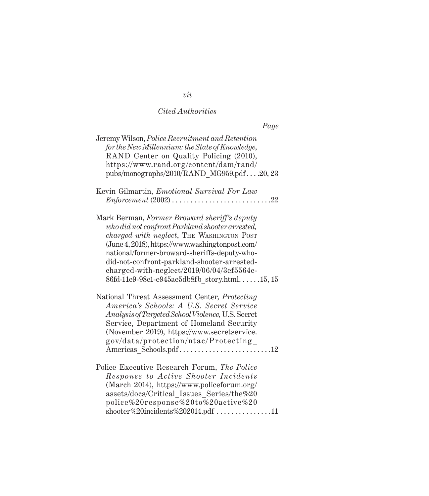| Page                                                                                                                                                                                                                                                                                                                                                                                               |
|----------------------------------------------------------------------------------------------------------------------------------------------------------------------------------------------------------------------------------------------------------------------------------------------------------------------------------------------------------------------------------------------------|
| Jeremy Wilson, Police Recruitment and Retention<br>for the New Millennium: the State of Knowledge,<br>RAND Center on Quality Policing (2010),<br>https://www.rand.org/content/dam/rand/<br>pubs/monographs/2010/RAND MG959.pdf20, 23                                                                                                                                                               |
| Kevin Gilmartin, <i>Emotional Survival For Law</i><br>$Enforcement (2002) \ldots$ .<br>$\ldots$ . 22                                                                                                                                                                                                                                                                                               |
| Mark Berman, Former Broward sheriff's deputy<br>who did not confront Parkland shooter arrested,<br><i>charged with neglect</i> , THE WASHINGTON POST<br>(June 4, 2018), https://www.washingtonpost.com/<br>national/former-broward-sheriffs-deputy-who-<br>did-not-confront-parkland-shooter-arrested-<br>charged-with-neglect/2019/06/04/3ef5564c-<br>86fd-11e9-98c1-e945ae5db8fb_story.html15,15 |
| National Threat Assessment Center, Protecting<br>America's Schools: A U.S. Secret Service<br>Analysis of Targeted School Violence, U.S. Secret<br>Service, Department of Homeland Security<br>(November 2019), https://www.secretservice.<br>gov/data/protection/ntac/Protecting<br>Americas_Schools.pdf12                                                                                         |
| Police Executive Research Forum, The Police<br>Response to Active Shooter Incidents<br>(March 2014), https://www.policeforum.org/<br>assets/docs/Critical Issues Series/the%20<br>police%20response%20to%20active%20                                                                                                                                                                               |

 $\mathrm{shooter}\%20$ incidents $\%202014.\mathrm{pdf}\,\ldots\ldots\ldots\ldots\ldots11$ 

*vii*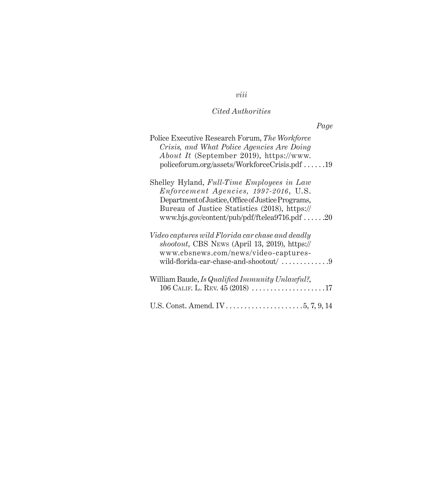# *viii*

## *Cited Authorities*

| Page                                                                                                                                                                                                                                                 |
|------------------------------------------------------------------------------------------------------------------------------------------------------------------------------------------------------------------------------------------------------|
| Police Executive Research Forum, The Workforce<br>Crisis, and What Police Agencies Are Doing<br><i>About It</i> (September 2019), https://www.<br>$policeforum.org/assets/WorkforceCrisis.pdf$ 19                                                    |
| Shelley Hyland, Full-Time Employees in Law<br>Enforcement Agencies, 1997-2016, U.S.<br>Department of Justice, Office of Justice Programs,<br>Bureau of Justice Statistics (2018), https://<br>www.bjs.gov/content/pub/pdf/ftelea9716.pdf $\dots$ .20 |
| Video captures wild Florida car chase and deadly<br>shootout, CBS News (April 13, 2019), https://<br>www.cbsnews.com/news/video-captures-<br>wild-florida-car-chase-and-shootout/ $\dots\dots\dots\dots9$                                            |
| William Baude, Is Qualified Immunity Unlawful?,<br>106 CALIF. L. REV. $45(2018)$ 17                                                                                                                                                                  |
| U.S. Const. Amend. IV . $\dots$ . $\dots$ . $\dots$ . $5, 7, 9, 14$                                                                                                                                                                                  |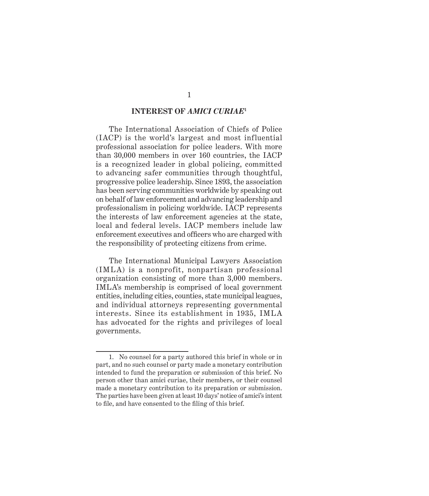#### **INTEREST OF** *AMICI CURIAE***<sup>1</sup>**

The International Association of Chiefs of Police (IACP) is the world's largest and most influential professional association for police leaders. With more than 30,000 members in over 160 countries, the IACP is a recognized leader in global policing, committed to advancing safer communities through thoughtful, progressive police leadership. Since 1893, the association has been serving communities worldwide by speaking out on behalf of law enforcement and advancing leadership and professionalism in policing worldwide. IACP represents the interests of law enforcement agencies at the state, local and federal levels. IACP members include law enforcement executives and officers who are charged with the responsibility of protecting citizens from crime.

The International Municipal Lawyers Association (IMLA) is a nonprofit, nonpartisan professional organization consisting of more than 3,000 members. IMLA's membership is comprised of local government entities, including cities, counties, state municipal leagues, and individual attorneys representing governmental interests. Since its establishment in 1935, IMLA has advocated for the rights and privileges of local governments.

<sup>1.</sup> No counsel for a party authored this brief in whole or in part, and no such counsel or party made a monetary contribution intended to fund the preparation or submission of this brief. No person other than amici curiae, their members, or their counsel made a monetary contribution to its preparation or submission. The parties have been given at least 10 days' notice of amici's intent to file, and have consented to the filing of this brief.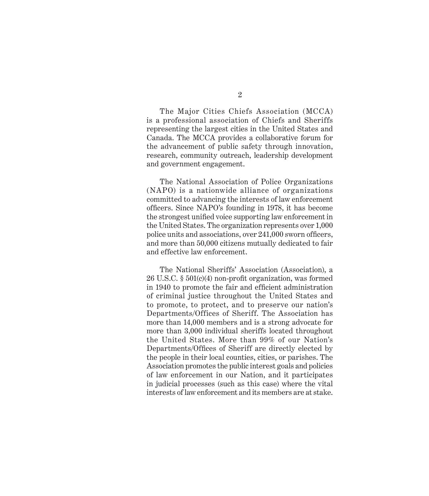2

The Major Cities Chiefs Association (MCCA) is a professional association of Chiefs and Sheriffs representing the largest cities in the United States and Canada. The MCCA provides a collaborative forum for the advancement of public safety through innovation, research, community outreach, leadership development and government engagement.

The National Association of Police Organizations (NAPO) is a nationwide alliance of organizations committed to advancing the interests of law enforcement officers. Since NAPO's founding in 1978, it has become the strongest unified voice supporting law enforcement in the United States. The organization represents over 1,000 police units and associations, over 241,000 sworn officers, and more than 50,000 citizens mutually dedicated to fair and effective law enforcement.

The National Sheriffs' Association (Association), a 26 U.S.C. § 501(c)(4) non-profit organization, was formed in 1940 to promote the fair and efficient administration of criminal justice throughout the United States and to promote, to protect, and to preserve our nation's Departments/Offices of Sheriff. The Association has more than 14,000 members and is a strong advocate for more than 3,000 individual sheriffs located throughout the United States. More than 99% of our Nation's Departments/Offices of Sheriff are directly elected by the people in their local counties, cities, or parishes. The Association promotes the public interest goals and policies of law enforcement in our Nation, and it participates in judicial processes (such as this case) where the vital interests of law enforcement and its members are at stake.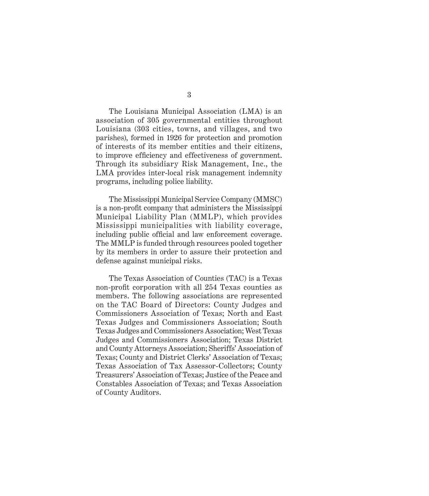3

The Louisiana Municipal Association (LMA) is an association of 305 governmental entities throughout Louisiana (303 cities, towns, and villages, and two parishes), formed in 1926 for protection and promotion of interests of its member entities and their citizens, to improve efficiency and effectiveness of government. Through its subsidiary Risk Management, Inc., the LMA provides inter-local risk management indemnity programs, including police liability.

The Mississippi Municipal Service Company (MMSC) is a non-profit company that administers the Mississippi Municipal Liability Plan (MMLP), which provides Mississippi municipalities with liability coverage, including public official and law enforcement coverage. The MMLP is funded through resources pooled together by its members in order to assure their protection and defense against municipal risks.

The Texas Association of Counties (TAC) is a Texas non-profit corporation with all 254 Texas counties as members. The following associations are represented on the TAC Board of Directors: County Judges and Commissioners Association of Texas; North and East Texas Judges and Commissioners Association; South Texas Judges and Commissioners Association; West Texas Judges and Commissioners Association; Texas District and County Attorneys Association; Sheriffs' Association of Texas; County and District Clerks' Association of Texas; Texas Association of Tax Assessor-Collectors; County Treasurers' Association of Texas; Justice of the Peace and Constables Association of Texas; and Texas Association of County Auditors.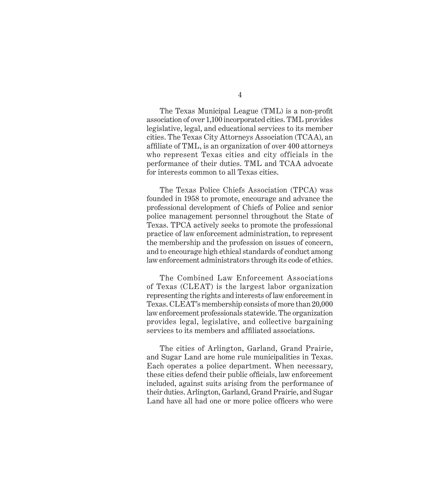The Texas Municipal League (TML) is a non-profit association of over 1,100 incorporated cities. TML provides legislative, legal, and educational services to its member cities. The Texas City Attorneys Association (TCAA), an affiliate of TML, is an organization of over 400 attorneys who represent Texas cities and city officials in the performance of their duties. TML and TCAA advocate for interests common to all Texas cities.

The Texas Police Chiefs Association (TPCA) was founded in 1958 to promote, encourage and advance the professional development of Chiefs of Police and senior police management personnel throughout the State of Texas. TPCA actively seeks to promote the professional practice of law enforcement administration, to represent the membership and the profession on issues of concern, and to encourage high ethical standards of conduct among law enforcement administrators through its code of ethics.

The Combined Law Enforcement Associations of Texas (CLEAT) is the largest labor organization representing the rights and interests of law enforcement in Texas. CLEAT's membership consists of more than 20,000 law enforcement professionals statewide. The organization provides legal, legislative, and collective bargaining services to its members and affiliated associations.

The cities of Arlington, Garland, Grand Prairie, and Sugar Land are home rule municipalities in Texas. Each operates a police department. When necessary, these cities defend their public officials, law enforcement included, against suits arising from the performance of their duties. Arlington, Garland, Grand Prairie, and Sugar Land have all had one or more police officers who were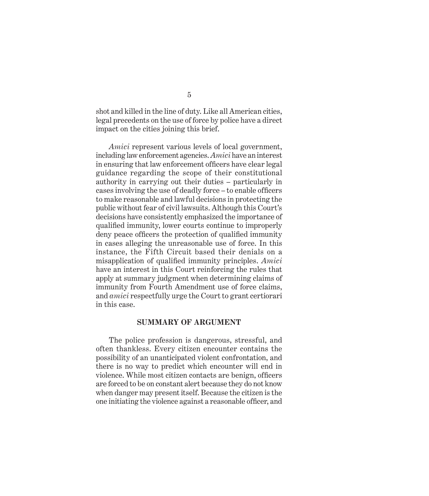shot and killed in the line of duty. Like all American cities, legal precedents on the use of force by police have a direct impact on the cities joining this brief.

*Amici* represent various levels of local government, including law enforcement agencies. *Amici* have an interest in ensuring that law enforcement officers have clear legal guidance regarding the scope of their constitutional authority in carrying out their duties – particularly in cases involving the use of deadly force – to enable officers to make reasonable and lawful decisions in protecting the public without fear of civil lawsuits. Although this Court's decisions have consistently emphasized the importance of qualified immunity, lower courts continue to improperly deny peace officers the protection of qualified immunity in cases alleging the unreasonable use of force. In this instance, the Fifth Circuit based their denials on a misapplication of qualified immunity principles. *Amici* have an interest in this Court reinforcing the rules that apply at summary judgment when determining claims of immunity from Fourth Amendment use of force claims, and *amici* respectfully urge the Court to grant certiorari in this case.

#### **SUMMARY OF ARGUMENT**

The police profession is dangerous, stressful, and often thankless. Every citizen encounter contains the possibility of an unanticipated violent confrontation, and there is no way to predict which encounter will end in violence. While most citizen contacts are benign, officers are forced to be on constant alert because they do not know when danger may present itself. Because the citizen is the one initiating the violence against a reasonable officer, and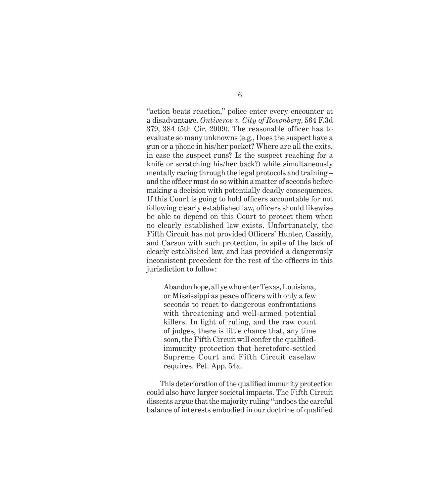"action beats reaction," police enter every encounter at a disadvantage. *Ontiveros v. City of Rosenberg*, 564 F.3d 379, 384 (5th Cir. 2009). The reasonable officer has to evaluate so many unknowns (e.g., Does the suspect have a gun or a phone in his/her pocket? Where are all the exits, in case the suspect runs? Is the suspect reaching for a knife or scratching his/her back?) while simultaneously mentally racing through the legal protocols and training – and the officer must do so within a matter of seconds before making a decision with potentially deadly consequences. If this Court is going to hold officers accountable for not following clearly established law, officers should likewise be able to depend on this Court to protect them when no clearly established law exists. Unfortunately, the Fifth Circuit has not provided Officers' Hunter, Cassidy, and Carson with such protection, in spite of the lack of clearly established law, and has provided a dangerously inconsistent precedent for the rest of the officers in this jurisdiction to follow:

Abandon hope, all ye who enter Texas, Louisiana, or Mississippi as peace officers with only a few seconds to react to dangerous confrontations with threatening and well-armed potential killers. In light of ruling, and the raw count of judges, there is little chance that, any time soon, the Fifth Circuit will confer the qualifiedimmunity protection that heretofore-settled Supreme Court and Fifth Circuit caselaw requires. Pet. App. 54a.

This deterioration of the qualified immunity protection could also have larger societal impacts. The Fifth Circuit dissents argue that the majority ruling "undoes the careful balance of interests embodied in our doctrine of qualified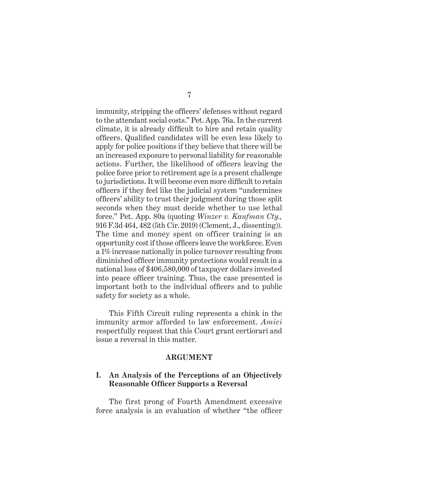immunity, stripping the officers' defenses without regard to the attendant social costs." Pet. App. 76a. In the current climate, it is already difficult to hire and retain quality officers. Qualified candidates will be even less likely to apply for police positions if they believe that there will be an increased exposure to personal liability for reasonable actions. Further, the likelihood of officers leaving the police force prior to retirement age is a present challenge to jurisdictions. It will become even more difficult to retain officers if they feel like the judicial system "undermines officers' ability to trust their judgment during those split seconds when they must decide whether to use lethal force." Pet. App. 80a (quoting *Winzer v. Kaufman Cty.,* 916 F.3d 464, 482 (5th Cir. 2019) (Clement, J., dissenting)). The time and money spent on officer training is an opportunity cost if those officers leave the workforce. Even a 1% increase nationally in police turnover resulting from diminished officer immunity protections would result in a national loss of \$406,580,000 of taxpayer dollars invested into peace officer training. Thus, the case presented is important both to the individual officers and to public safety for society as a whole.

This Fifth Circuit ruling represents a chink in the immunity armor afforded to law enforcement. *Amici* respectfully request that this Court grant certiorari and issue a reversal in this matter.

#### **ARGUMENT**

### **I. An Analysis of the Perceptions of an Objectively Reasonable Officer Supports a Reversal**

The first prong of Fourth Amendment excessive force analysis is an evaluation of whether "the officer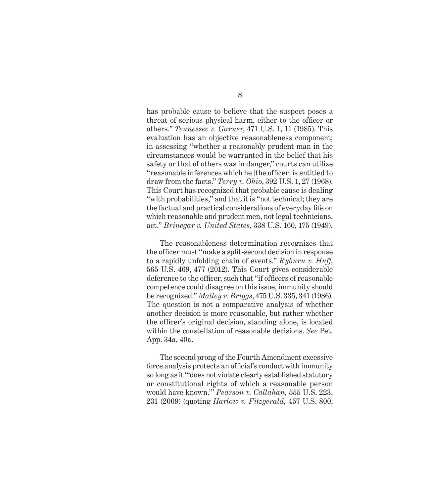has probable cause to believe that the suspect poses a threat of serious physical harm, either to the officer or others." *Tennessee v. Garner*, 471 U.S. 1, 11 (1985). This evaluation has an objective reasonableness component; in assessing "whether a reasonably prudent man in the circumstances would be warranted in the belief that his safety or that of others was in danger," courts can utilize "reasonable inferences which he [the officer] is entitled to draw from the facts." *Terry v. Ohio*, 392 U.S. 1, 27 (1968). This Court has recognized that probable cause is dealing "with probabilities," and that it is "not technical; they are the factual and practical considerations of everyday life on which reasonable and prudent men, not legal technicians, act." *Brinegar v. United States*, 338 U.S. 160, 175 (1949).

The reasonableness determination recognizes that the officer must "make a split-second decision in response to a rapidly unfolding chain of events." *Ryburn v. Huff*, 565 U.S. 469, 477 (2012). This Court gives considerable deference to the officer, such that "if officers of reasonable competence could disagree on this issue, immunity should be recognized." *Malley v. Briggs*, 475 U.S. 335, 341 (1986). The question is not a comparative analysis of whether another decision is more reasonable, but rather whether the officer's original decision, standing alone, is located within the constellation of reasonable decisions. *See* Pet. App. 34a, 40a.

The second prong of the Fourth Amendment excessive force analysis protects an official's conduct with immunity so long as it "'does not violate clearly established statutory or constitutional rights of which a reasonable person would have known.'" *Pearson v. Callahan,* 555 U.S. 223, 231 (2009) (quoting *Harlow v. Fitzgerald,* 457 U.S. 800,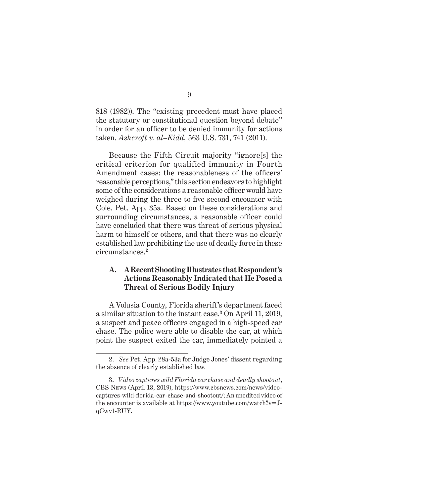818 (1982)). The "existing precedent must have placed the statutory or constitutional question beyond debate" in order for an officer to be denied immunity for actions taken. *Ashcroft v. al–Kidd,* 563 U.S. 731, 741 (2011).

Because the Fifth Circuit majority "ignore[s] the critical criterion for qualified immunity in Fourth Amendment cases: the reasonableness of the officers' reasonable perceptions," this section endeavors to highlight some of the considerations a reasonable officer would have weighed during the three to five second encounter with Cole. Pet. App. 35a. Based on these considerations and surrounding circumstances, a reasonable officer could have concluded that there was threat of serious physical harm to himself or others, and that there was no clearly established law prohibiting the use of deadly force in these circumstances.2

### **A. A Recent Shooting Illustrates that Respondent's Actions Reasonably Indicated that He Posed a Threat of Serious Bodily Injury**

A Volusia County, Florida sheriff's department faced a similar situation to the instant case.3 On April 11, 2019, a suspect and peace officers engaged in a high-speed car chase. The police were able to disable the car, at which point the suspect exited the car, immediately pointed a

<sup>2.</sup> *See* Pet. App. 28a-53a for Judge Jones' dissent regarding the absence of clearly established law.

<sup>3.</sup> *Video captures wild Florida car chase and deadly shootout*, CBS News (April 13, 2019), https://www.cbsnews.com/news/videocaptures-wild-florida-car-chase-and-shootout/; An unedited video of the encounter is available at https://www.youtube.com/watch?v=JqCwv1-RUY.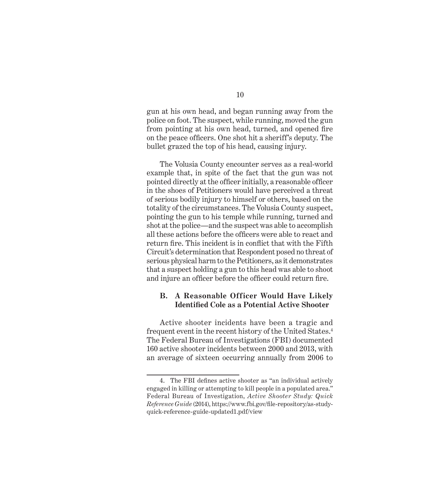gun at his own head, and began running away from the police on foot. The suspect, while running, moved the gun from pointing at his own head, turned, and opened fire on the peace officers. One shot hit a sheriff's deputy. The bullet grazed the top of his head, causing injury.

The Volusia County encounter serves as a real-world example that, in spite of the fact that the gun was not pointed directly at the officer initially, a reasonable officer in the shoes of Petitioners would have perceived a threat of serious bodily injury to himself or others, based on the totality of the circumstances. The Volusia County suspect, pointing the gun to his temple while running, turned and shot at the police—and the suspect was able to accomplish all these actions before the officers were able to react and return fire. This incident is in conflict that with the Fifth Circuit's determination that Respondent posed no threat of serious physical harm to the Petitioners, as it demonstrates that a suspect holding a gun to this head was able to shoot and injure an officer before the officer could return fire.

#### **B. A Reasonable Officer Would Have Likely Identified Cole as a Potential Active Shooter**

Active shooter incidents have been a tragic and frequent event in the recent history of the United States.4 The Federal Bureau of Investigations (FBI) documented 160 active shooter incidents between 2000 and 2013, with an average of sixteen occurring annually from 2006 to

<sup>4.</sup> The FBI defines active shooter as "an individual actively engaged in killing or attempting to kill people in a populated area." Federal Bureau of Investigation, *Active Shooter Study: Quick Reference Guide* (2014), https://www.fbi.gov/file-repository/as-studyquick-reference-guide-updated1.pdf/view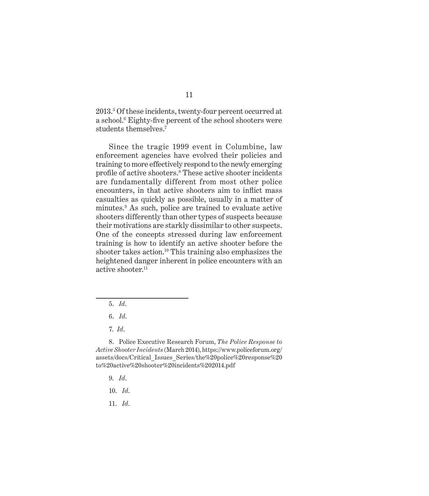2013.5 Of these incidents, twenty-four percent occurred at a school.<sup>6</sup> Eighty-five percent of the school shooters were students themselves.7

Since the tragic 1999 event in Columbine, law enforcement agencies have evolved their policies and training to more effectively respond to the newly emerging profile of active shooters.<sup>8</sup> These active shooter incidents are fundamentally different from most other police encounters, in that active shooters aim to inflict mass casualties as quickly as possible, usually in a matter of minutes.9 As such, police are trained to evaluate active shooters differently than other types of suspects because their motivations are starkly dissimilar to other suspects. One of the concepts stressed during law enforcement training is how to identify an active shooter before the shooter takes action.10 This training also emphasizes the heightened danger inherent in police encounters with an active shooter.<sup>11</sup>

- 5. *Id*.
- 6. *Id*.
- 7. *Id*.

8. Police Executive Research Forum, *The Police Response to Active Shooter Incidents* (March 2014), https://www.policeforum.org/ assets/docs/Critical\_Issues\_Series/the%20police%20response%20 to%20active%20shooter%20incidents%202014.pdf

- 9. *Id*.
- 10. *Id*.
- 11. *Id*.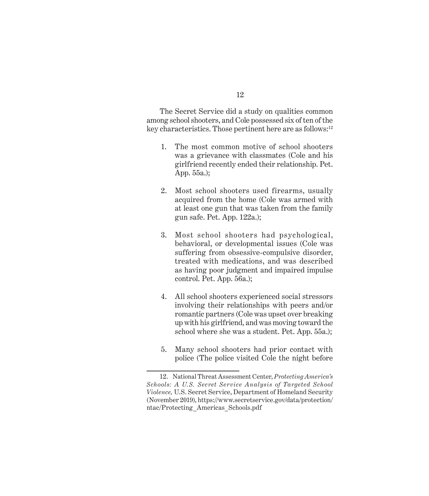The Secret Service did a study on qualities common among school shooters, and Cole possessed six of ten of the key characteristics. Those pertinent here are as follows:<sup>12</sup>

- 1. The most common motive of school shooters was a grievance with classmates (Cole and his girlfriend recently ended their relationship. Pet. App. 55a.);
- 2. Most school shooters used firearms, usually acquired from the home (Cole was armed with at least one gun that was taken from the family gun safe. Pet. App. 122a.);
- 3. Most school shooters had psychological, behavioral, or developmental issues (Cole was suffering from obsessive-compulsive disorder, treated with medications, and was described as having poor judgment and impaired impulse control. Pet. App. 56a.);
- 4. All school shooters experienced social stressors involving their relationships with peers and/or romantic partners (Cole was upset over breaking up with his girlfriend, and was moving toward the school where she was a student. Pet. App. 55a.);
- 5. Many school shooters had prior contact with police (The police visited Cole the night before

<sup>12.</sup> National Threat Assessment Center, *Protecting America's Schools: A U.S. Secret Service Analysis of Targeted School Violence,* U.S. Secret Service, Department of Homeland Security (November 2019), https://www.secretservice.gov/data/protection/ ntac/Protecting\_Americas\_Schools.pdf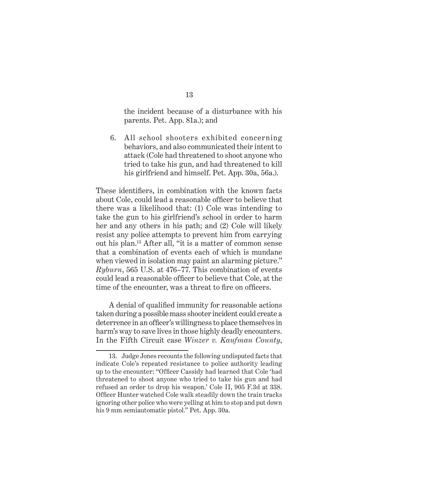the incident because of a disturbance with his parents. Pet. App. 81a.); and

6. All school shooters exhibited concerning behaviors, and also communicated their intent to attack (Cole had threatened to shoot anyone who tried to take his gun, and had threatened to kill his girlfriend and himself. Pet. App. 30a, 56a.).

These identifiers, in combination with the known facts about Cole, could lead a reasonable officer to believe that there was a likelihood that: (1) Cole was intending to take the gun to his girlfriend's school in order to harm her and any others in his path; and (2) Cole will likely resist any police attempts to prevent him from carrying out his plan.13 After all, "it is a matter of common sense that a combination of events each of which is mundane when viewed in isolation may paint an alarming picture." *Ryburn*, 565 U.S. at 476–77. This combination of events could lead a reasonable officer to believe that Cole, at the time of the encounter, was a threat to fire on officers.

A denial of qualified immunity for reasonable actions taken during a possible mass shooter incident could create a deterrence in an officer's willingness to place themselves in harm's way to save lives in those highly deadly encounters. In the Fifth Circuit case *Winzer v. Kaufman County*,

<sup>13.</sup> Judge Jones recounts the following undisputed facts that indicate Cole's repeated resistance to police authority leading up to the encounter: "Officer Cassidy had learned that Cole 'had threatened to shoot anyone who tried to take his gun and had refused an order to drop his weapon.' Cole II, 905 F.3d at 338. Officer Hunter watched Cole walk steadily down the train tracks ignoring other police who were yelling at him to stop and put down his 9 mm semiautomatic pistol." Pet. App. 30a.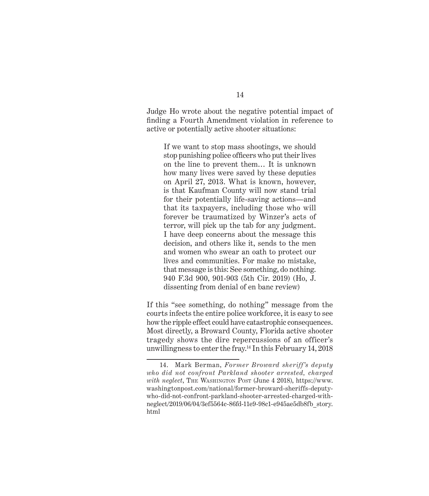Judge Ho wrote about the negative potential impact of finding a Fourth Amendment violation in reference to active or potentially active shooter situations:

If we want to stop mass shootings, we should stop punishing police officers who put their lives on the line to prevent them… It is unknown how many lives were saved by these deputies on April 27, 2013. What is known, however, is that Kaufman County will now stand trial for their potentially life-saving actions—and that its taxpayers, including those who will forever be traumatized by Winzer's acts of terror, will pick up the tab for any judgment. I have deep concerns about the message this decision, and others like it, sends to the men and women who swear an oath to protect our lives and communities. For make no mistake, that message is this: See something, do nothing. 940 F.3d 900, 901-903 (5th Cir. 2019) (Ho, J. dissenting from denial of en banc review)

If this "see something, do nothing" message from the courts infects the entire police workforce, it is easy to see how the ripple effect could have catastrophic consequences. Most directly, a Broward County, Florida active shooter tragedy shows the dire repercussions of an officer's unwillingness to enter the fray.14 In this February 14, 2018

<sup>14.</sup> Mark Berman, *Former Broward sheriff's deputy who did not confront Parkland shooter arrested, charged with neglect*, The Washington Post (June 4 2018), https://www. washingtonpost.com/national/former-broward-sheriffs-deputywho-did-not-confront-parkland-shooter-arrested-charged-withneglect/2019/06/04/3ef5564c-86fd-11e9-98c1-e945ae5db8fb\_story. html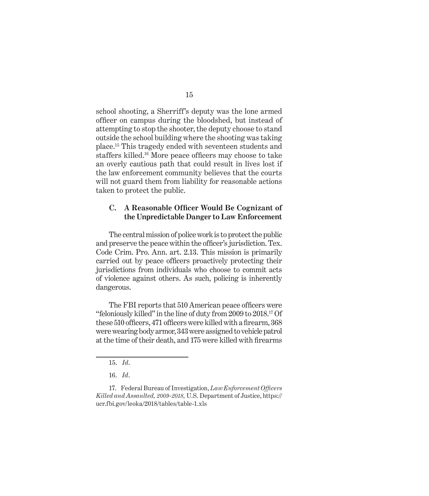school shooting, a Sherriff's deputy was the lone armed officer on campus during the bloodshed, but instead of attempting to stop the shooter, the deputy choose to stand outside the school building where the shooting was taking place.15 This tragedy ended with seventeen students and staffers killed.16 More peace officers may choose to take an overly cautious path that could result in lives lost if the law enforcement community believes that the courts will not guard them from liability for reasonable actions taken to protect the public.

#### **C. A Reasonable Officer Would Be Cognizant of the Unpredictable Danger to Law Enforcement**

The central mission of police work is to protect the public and preserve the peace within the officer's jurisdiction. Tex. Code Crim. Pro. Ann. art. 2.13. This mission is primarily carried out by peace officers proactively protecting their jurisdictions from individuals who choose to commit acts of violence against others. As such, policing is inherently dangerous.

The FBI reports that 510 American peace officers were "feloniously killed" in the line of duty from 2009 to 2018.17 Of these 510 officers, 471 officers were killed with a firearm, 368 were wearing body armor, 343 were assigned to vehicle patrol at the time of their death, and 175 were killed with firearms

<sup>15.</sup> *Id*.

<sup>16.</sup> *Id*.

<sup>17.</sup> Federal Bureau of Investigation, *Law Enforcement Officers Killed and Assaulted, 2009-2018,* U.S. Department of Justice, https:// ucr.fbi.gov/leoka/2018/tables/table-1.xls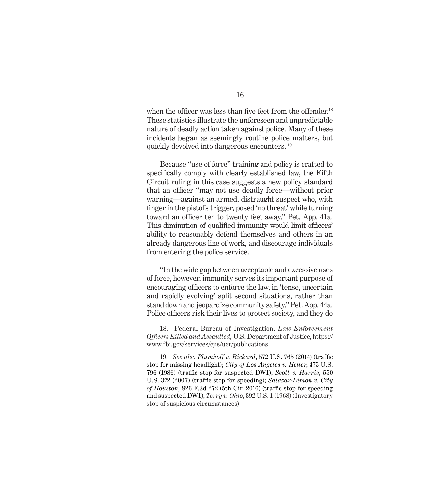when the officer was less than five feet from the offender.<sup>18</sup> These statistics illustrate the unforeseen and unpredictable nature of deadly action taken against police. Many of these incidents began as seemingly routine police matters, but quickly devolved into dangerous encounters. <sup>19</sup>

Because "use of force" training and policy is crafted to specifically comply with clearly established law, the Fifth Circuit ruling in this case suggests a new policy standard that an officer "may not use deadly force—without prior warning—against an armed, distraught suspect who, with finger in the pistol's trigger, posed 'no threat' while turning toward an officer ten to twenty feet away." Pet. App. 41a. This diminution of qualified immunity would limit officers' ability to reasonably defend themselves and others in an already dangerous line of work, and discourage individuals from entering the police service.

"In the wide gap between acceptable and excessive uses of force, however, immunity serves its important purpose of encouraging officers to enforce the law, in 'tense, uncertain and rapidly evolving' split second situations, rather than stand down and jeopardize community safety." Pet. App. 44a. Police officers risk their lives to protect society, and they do

<sup>18.</sup> Federal Bureau of Investigation, *Law Enforcement Officers Killed and Assaulted,* U.S. Department of Justice, https:// www.fbi.gov/services/cjis/ucr/publications

<sup>19.</sup> *See also Plumhoff v. Rickard*, 572 U.S. 765 (2014) (traffic stop for missing headlight); *City of Los Angeles v. Heller*, 475 U.S. 796 (1986) (traffic stop for suspected DWI); *Scott v. Harris*, 550 U.S. 372 (2007) (traffic stop for speeding); *Salazar-Limon v. City of Houston*, 826 F.3d 272 (5th Cir. 2016) (traffic stop for speeding and suspected DWI), *Terry v. Ohio*, 392 U.S. 1 (1968) (Investigatory stop of suspicious circumstances)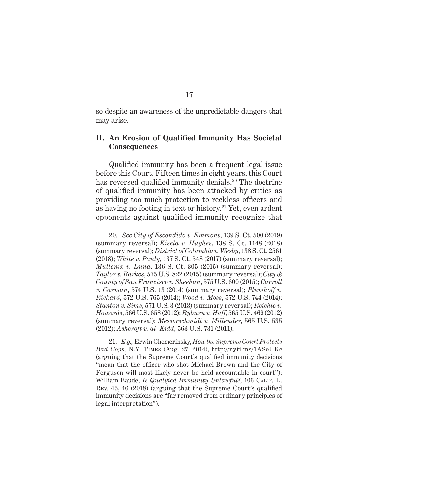so despite an awareness of the unpredictable dangers that may arise.

#### **II. An Erosion of Qualified Immunity Has Societal Consequences**

Qualified immunity has been a frequent legal issue before this Court. Fifteen times in eight years, this Court has reversed qualified immunity denials.<sup>20</sup> The doctrine of qualified immunity has been attacked by critics as providing too much protection to reckless officers and as having no footing in text or history.<sup>21</sup> Yet, even ardent opponents against qualified immunity recognize that

<sup>20.</sup> *See City of Escondido v. Emmons*, 139 S. Ct. 500 (2019) (summary reversal); *Kisela v. Hughes*, 138 S. Ct. 1148 (2018) (summary reversal); *District of Columbia v. Wesby*, 138 S. Ct. 2561 (2018); *White v. Pauly,* 137 S. Ct. 548 (2017) (summary reversal); *Mullenix v. Luna*, 136 S. Ct. 305 (2015) (summary reversal); *Taylor v. Barkes*, 575 U.S. 822 (2015) (summary reversal); *City & County of San Francisco v. Sheehan*, 575 U.S. 600 (2015); *Carroll v. Carman*, 574 U.S. 13 (2014) (summary reversal); *Plumhoff v. Rickard*, 572 U.S. 765 (2014); *Wood v. Moss*, 572 U.S. 744 (2014); *Stanton v. Sims*, 571 U.S. 3 (2013) (summary reversal); *Reichle v. Howards*, 566 U.S. 658 (2012); *Ryburn v. Huff*, 565 U.S. 469 (2012) (summary reversal); *Messerschmidt v. Millender*, 565 U.S. 535 (2012); *Ashcroft v. al–Kidd*, 563 U.S. 731 (2011).

<sup>21.</sup> *E.g.,* Erwin Chemerinsky, *How the Supreme Court Protects Bad Cops*, N.Y. Times (Aug. 27, 2014), http://nyti.ms/1ASeUKc (arguing that the Supreme Court's qualified immunity decisions "mean that the officer who shot Michael Brown and the City of Ferguson will most likely never be held accountable in court"); William Baude, *Is Qualified Immunity Unlawful?*, 106 Calif. L. Rev. 45, 46 (2018) (arguing that the Supreme Court's qualified immunity decisions are "far removed from ordinary principles of legal interpretation").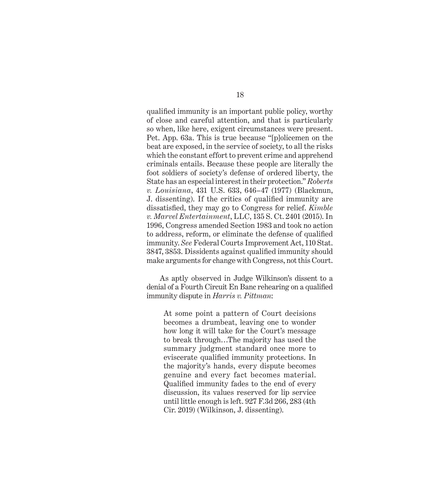qualified immunity is an important public policy, worthy of close and careful attention, and that is particularly so when, like here, exigent circumstances were present. Pet. App. 63a. This is true because "[p]olicemen on the beat are exposed, in the service of society, to all the risks which the constant effort to prevent crime and apprehend criminals entails. Because these people are literally the foot soldiers of society's defense of ordered liberty, the State has an especial interest in their protection." *Roberts v. Louisiana*, 431 U.S. 633, 646–47 (1977) (Blackmun, J. dissenting). If the critics of qualified immunity are dissatisfied, they may go to Congress for relief. *Kimble v. Marvel Entertainment*, LLC, 135 S. Ct. 2401 (2015). In 1996, Congress amended Section 1983 and took no action to address, reform, or eliminate the defense of qualified immunity. *See* Federal Courts Improvement Act, 110 Stat. 3847, 3853. Dissidents against qualified immunity should make arguments for change with Congress, not this Court.

As aptly observed in Judge Wilkinson's dissent to a denial of a Fourth Circuit En Banc rehearing on a qualified immunity dispute in *Harris v. Pittman*:

At some point a pattern of Court decisions becomes a drumbeat, leaving one to wonder how long it will take for the Court's message to break through…The majority has used the summary judgment standard once more to eviscerate qualified immunity protections. In the majority's hands, every dispute becomes genuine and every fact becomes material. Qualified immunity fades to the end of every discussion, its values reserved for lip service until little enough is left. 927 F.3d 266, 283 (4th Cir. 2019) (Wilkinson, J. dissenting).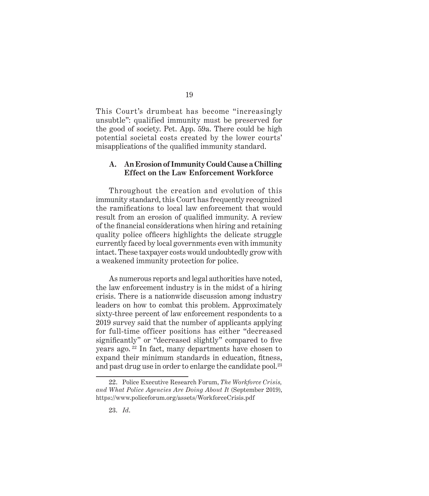This Court's drumbeat has become "increasingly unsubtle": qualified immunity must be preserved for the good of society. Pet. App. 59a. There could be high potential societal costs created by the lower courts' misapplications of the qualified immunity standard.

#### **A. An Erosion of Immunity Could Cause a Chilling Effect on the Law Enforcement Workforce**

Throughout the creation and evolution of this immunity standard, this Court has frequently recognized the ramifications to local law enforcement that would result from an erosion of qualified immunity. A review of the financial considerations when hiring and retaining quality police officers highlights the delicate struggle currently faced by local governments even with immunity intact. These taxpayer costs would undoubtedly grow with a weakened immunity protection for police.

As numerous reports and legal authorities have noted, the law enforcement industry is in the midst of a hiring crisis. There is a nationwide discussion among industry leaders on how to combat this problem. Approximately sixty-three percent of law enforcement respondents to a 2019 survey said that the number of applicants applying for full-time officer positions has either "decreased significantly" or "decreased slightly" compared to five years ago. 22 In fact, many departments have chosen to expand their minimum standards in education, fitness, and past drug use in order to enlarge the candidate pool.<sup>23</sup>

<sup>22.</sup> Police Executive Research Forum, *The Workforce Crisis, and What Police Agencies Are Doing About It* (September 2019), https://www.policeforum.org/assets/WorkforceCrisis.pdf

<sup>23.</sup> *Id*.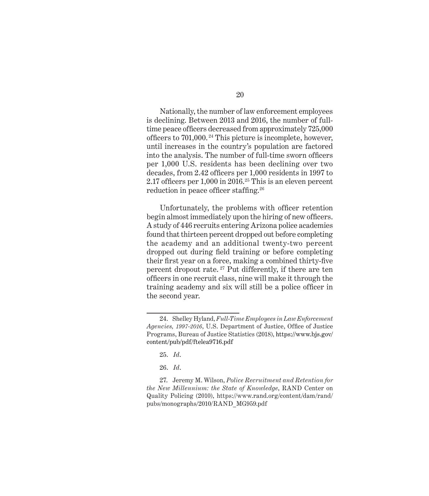Nationally, the number of law enforcement employees is declining. Between 2013 and 2016, the number of fulltime peace officers decreased from approximately 725,000 officers to 701,000. 24 This picture is incomplete, however, until increases in the country's population are factored into the analysis. The number of full-time sworn officers per 1,000 U.S. residents has been declining over two decades, from 2.42 officers per 1,000 residents in 1997 to 2.17 officers per  $1,000$  in  $2016.^{25}$  This is an eleven percent reduction in peace officer staffing.<sup>26</sup>

Unfortunately, the problems with officer retention begin almost immediately upon the hiring of new officers. A study of 446 recruits entering Arizona police academies found that thirteen percent dropped out before completing the academy and an additional twenty-two percent dropped out during field training or before completing their first year on a force, making a combined thirty-five percent dropout rate. 27 Put differently, if there are ten officers in one recruit class, nine will make it through the training academy and six will still be a police officer in the second year.

<sup>24.</sup> Shelley Hyland, *Full-Time Employees in Law Enforcement Agencies, 1997-2016*, U.S. Department of Justice, Office of Justice Programs, Bureau of Justice Statistics (2018), https://www.bjs.gov/ content/pub/pdf/ftelea9716.pdf

<sup>25.</sup> *Id*.

<sup>26.</sup> *Id*.

<sup>27.</sup> Jeremy M. Wilson, *Police Recruitment and Retention for the New Millennium: the State of Knowledge*, RAND Center on Quality Policing (2010), https://www.rand.org/content/dam/rand/ pubs/monographs/2010/RAND\_MG959.pdf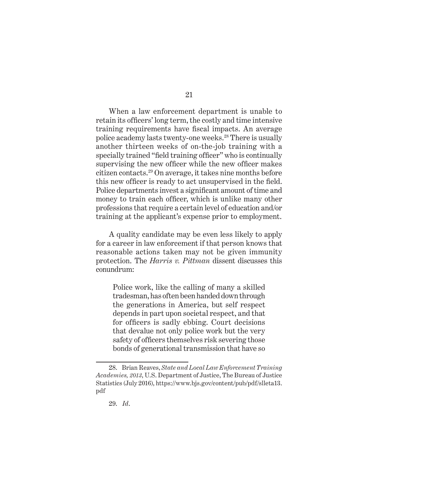When a law enforcement department is unable to retain its officers' long term, the costly and time intensive training requirements have fiscal impacts. An average police academy lasts twenty-one weeks.28 There is usually another thirteen weeks of on-the-job training with a specially trained "field training officer" who is continually supervising the new officer while the new officer makes citizen contacts.29 On average, it takes nine months before this new officer is ready to act unsupervised in the field. Police departments invest a significant amount of time and money to train each officer, which is unlike many other professions that require a certain level of education and/or training at the applicant's expense prior to employment.

A quality candidate may be even less likely to apply for a career in law enforcement if that person knows that reasonable actions taken may not be given immunity protection. The *Harris v. Pittman* dissent discusses this conundrum:

Police work, like the calling of many a skilled tradesman, has often been handed down through the generations in America, but self respect depends in part upon societal respect, and that for officers is sadly ebbing. Court decisions that devalue not only police work but the very safety of officers themselves risk severing those bonds of generational transmission that have so

<sup>28.</sup> Brian Reaves, *State and Local Law Enforcement Training Academies, 2013*, U.S. Department of Justice, The Bureau of Justice Statistics (July 2016), https://www.bjs.gov/content/pub/pdf/slleta13. pdf

<sup>29.</sup> *Id*.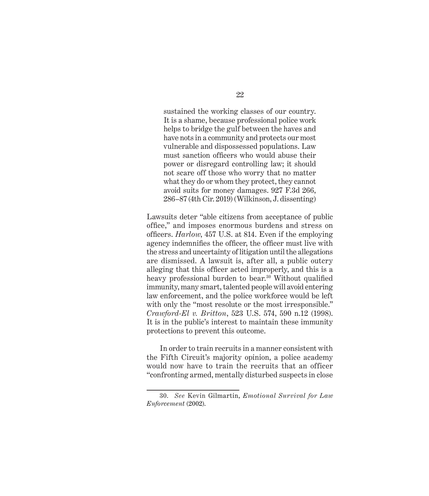sustained the working classes of our country. It is a shame, because professional police work helps to bridge the gulf between the haves and have nots in a community and protects our most vulnerable and dispossessed populations. Law must sanction officers who would abuse their power or disregard controlling law; it should not scare off those who worry that no matter what they do or whom they protect, they cannot avoid suits for money damages. 927 F.3d 266, 286–87 (4th Cir. 2019) (Wilkinson, J. dissenting)

Lawsuits deter "able citizens from acceptance of public office," and imposes enormous burdens and stress on officers. *Harlow*, 457 U.S. at 814. Even if the employing agency indemnifies the officer, the officer must live with the stress and uncertainty of litigation until the allegations are dismissed. A lawsuit is, after all, a public outcry alleging that this officer acted improperly, and this is a heavy professional burden to bear.<sup>30</sup> Without qualified immunity, many smart, talented people will avoid entering law enforcement, and the police workforce would be left with only the "most resolute or the most irresponsible." *Crawford-El v. Britton*, 523 U.S. 574, 590 n.12 (1998). It is in the public's interest to maintain these immunity protections to prevent this outcome.

In order to train recruits in a manner consistent with the Fifth Circuit's majority opinion, a police academy would now have to train the recruits that an officer "confronting armed, mentally disturbed suspects in close

<sup>30.</sup> *See* Kevin Gilmartin, *Emotional Survival for Law Enforcement* (2002).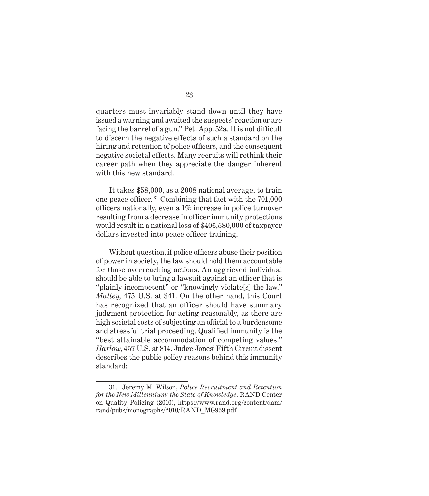quarters must invariably stand down until they have issued a warning and awaited the suspects' reaction or are facing the barrel of a gun." Pet. App. 52a. It is not difficult to discern the negative effects of such a standard on the hiring and retention of police officers, and the consequent negative societal effects. Many recruits will rethink their career path when they appreciate the danger inherent with this new standard.

It takes \$58,000, as a 2008 national average, to train one peace officer. 31 Combining that fact with the 701,000 officers nationally, even a 1% increase in police turnover resulting from a decrease in officer immunity protections would result in a national loss of \$406,580,000 of taxpayer dollars invested into peace officer training.

Without question, if police officers abuse their position of power in society, the law should hold them accountable for those overreaching actions. An aggrieved individual should be able to bring a lawsuit against an officer that is "plainly incompetent" or "knowingly violate[s] the law." *Malley*, 475 U.S. at 341. On the other hand, this Court has recognized that an officer should have summary judgment protection for acting reasonably, as there are high societal costs of subjecting an official to a burdensome and stressful trial proceeding. Qualified immunity is the "best attainable accommodation of competing values." *Harlow*, 457 U.S. at 814. Judge Jones' Fifth Circuit dissent describes the public policy reasons behind this immunity standard:

<sup>31.</sup> Jeremy M. Wilson, *Police Recruitment and Retention for the New Millennium: the State of Knowledge*, RAND Center on Quality Policing (2010), https://www.rand.org/content/dam/ rand/pubs/monographs/2010/RAND\_MG959.pdf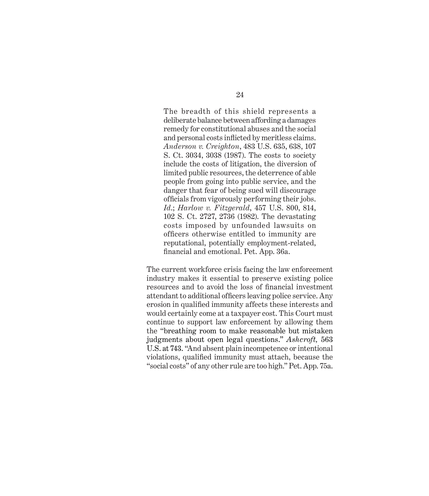The breadth of this shield represents a deliberate balance between affording a damages remedy for constitutional abuses and the social and personal costs inflicted by meritless claims. *Anderson v. Creighton*, 483 U.S. 635, 638, 107 S. Ct. 3034, 3038 (1987). The costs to society include the costs of litigation, the diversion of limited public resources, the deterrence of able people from going into public service, and the danger that fear of being sued will discourage officials from vigorously performing their jobs. *Id*.; *Harlow v. Fitzgerald*, 457 U.S. 800, 814, 102 S. Ct. 2727, 2736 (1982). The devastating costs imposed by unfounded lawsuits on officers otherwise entitled to immunity are reputational, potentially employment-related, financial and emotional. Pet. App. 36a.

The current workforce crisis facing the law enforcement industry makes it essential to preserve existing police resources and to avoid the loss of financial investment attendant to additional officers leaving police service. Any erosion in qualified immunity affects these interests and would certainly come at a taxpayer cost. This Court must continue to support law enforcement by allowing them the "breathing room to make reasonable but mistaken judgments about open legal questions." *Ashcroft,* 563 U.S. at 743. "And absent plain incompetence or intentional violations, qualified immunity must attach, because the "social costs" of any other rule are too high." Pet. App. 75a.